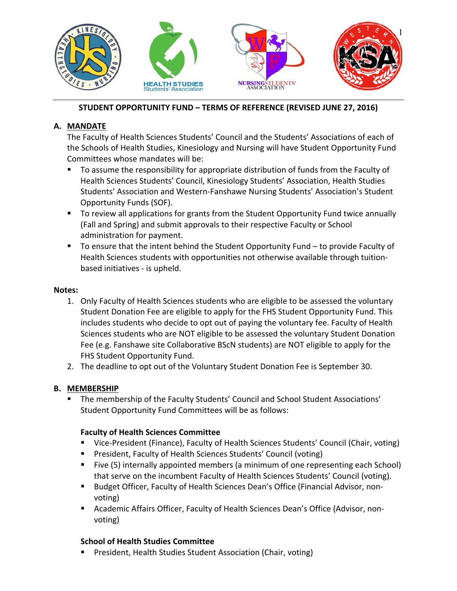

### **STUDENT OPPORTUNITY FUND – TERMS OF REFERENCE (REVISED JUNE 27, 2016)**

## **A. MANDATE**

The Faculty of Health Sciences Students' Council and the Students' Associations of each of the Schools of Health Studies, Kinesiology and Nursing will have Student Opportunity Fund Committees whose mandates will be:

- To assume the responsibility for appropriate distribution of funds from the Faculty of Health Sciences Students' Council, Kinesiology Students' Association, Health Studies Students' Association and Western‐Fanshawe Nursing Students' Association's Student Opportunity Funds (SOF).
- To review all applications for grants from the Student Opportunity Fund twice annually (Fall and Spring) and submit approvals to their respective Faculty or School administration for payment.
- To ensure that the intent behind the Student Opportunity Fund to provide Faculty of Health Sciences students with opportunities not otherwise available through tuition‐ based initiatives ‐ is upheld.

### **Notes:**

- 1. Only Faculty of Health Sciences students who are eligible to be assessed the voluntary Student Donation Fee are eligible to apply for the FHS Student Opportunity Fund. This includes students who decide to opt out of paying the voluntary fee. Faculty of Health Sciences students who are NOT eligible to be assessed the voluntary Student Donation Fee (e.g. Fanshawe site Collaborative BScN students) are NOT eligible to apply for the FHS Student Opportunity Fund.
- 2. The deadline to opt out of the Voluntary Student Donation Fee is September 30.

# **B. MEMBERSHIP**

 The membership of the Faculty Students' Council and School Student Associations' Student Opportunity Fund Committees will be as follows:

# **Faculty of Health Sciences Committee**

- Vice-President (Finance), Faculty of Health Sciences Students' Council (Chair, voting)
- **President, Faculty of Health Sciences Students' Council (voting)**
- Five (5) internally appointed members (a minimum of one representing each School) that serve on the incumbent Faculty of Health Sciences Students' Council (voting).
- Budget Officer, Faculty of Health Sciences Dean's Office (Financial Advisor, nonvoting)
- Academic Affairs Officer, Faculty of Health Sciences Dean's Office (Advisor, nonvoting)

# **School of Health Studies Committee**

**President, Health Studies Student Association (Chair, voting)**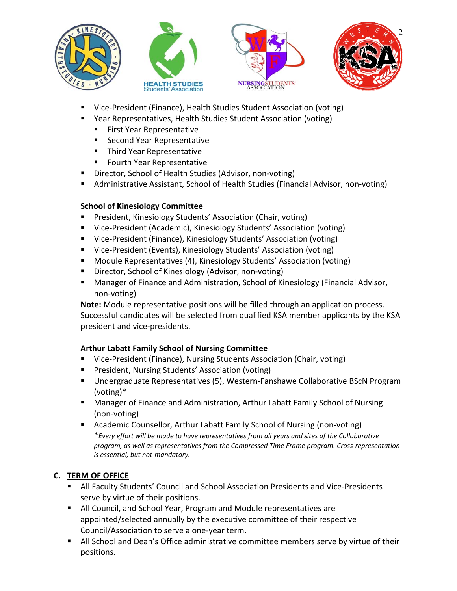

- Vice-President (Finance), Health Studies Student Association (voting)
- Year Representatives, Health Studies Student Association (voting)
	- **First Year Representative**
	- Second Year Representative
	- **Third Year Representative**
	- **Fourth Year Representative**
- Director, School of Health Studies (Advisor, non‐voting)
- Administrative Assistant, School of Health Studies (Financial Advisor, non-voting)

### **School of Kinesiology Committee**

- **President, Kinesiology Students' Association (Chair, voting)**
- Vice-President (Academic), Kinesiology Students' Association (voting)
- Vice-President (Finance), Kinesiology Students' Association (voting)
- Vice-President (Events), Kinesiology Students' Association (voting)
- **Module Representatives (4), Kinesiology Students' Association (voting)**
- Director, School of Kinesiology (Advisor, non-voting)
- **Manager of Finance and Administration, School of Kinesiology (Financial Advisor,** non‐voting)

**Note:** Module representative positions will be filled through an application process. Successful candidates will be selected from qualified KSA member applicants by the KSA president and vice‐presidents.

# **Arthur Labatt Family School of Nursing Committee**

- Vice-President (Finance), Nursing Students Association (Chair, voting)
- **President, Nursing Students' Association (voting)**
- Undergraduate Representatives (5), Western-Fanshawe Collaborative BScN Program (voting)\*
- Manager of Finance and Administration, Arthur Labatt Family School of Nursing (non‐voting)
- Academic Counsellor, Arthur Labatt Family School of Nursing (non-voting) \**Every effort will be made to have representatives from all years and sites of the Collaborative program, as well as representatives from the Compressed Time Frame program. Cross‐representation is essential, but not‐mandatory.*

# **C. TERM OF OFFICE**

- All Faculty Students' Council and School Association Presidents and Vice-Presidents serve by virtue of their positions.
- All Council, and School Year, Program and Module representatives are appointed/selected annually by the executive committee of their respective Council/Association to serve a one‐year term.
- All School and Dean's Office administrative committee members serve by virtue of their positions.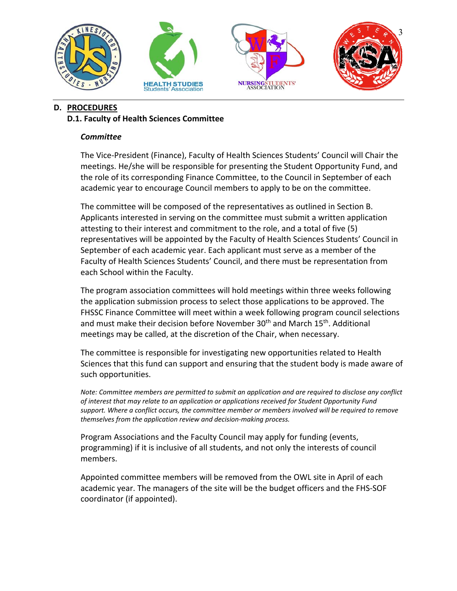

## **D. PROCEDURES D.1. Faculty of Health Sciences Committee**

#### *Committee*

The Vice‐President (Finance), Faculty of Health Sciences Students' Council will Chair the meetings. He/she will be responsible for presenting the Student Opportunity Fund, and the role of its corresponding Finance Committee, to the Council in September of each academic year to encourage Council members to apply to be on the committee.

The committee will be composed of the representatives as outlined in Section B. Applicants interested in serving on the committee must submit a written application attesting to their interest and commitment to the role, and a total of five (5) representatives will be appointed by the Faculty of Health Sciences Students' Council in September of each academic year. Each applicant must serve as a member of the Faculty of Health Sciences Students' Council, and there must be representation from each School within the Faculty.

The program association committees will hold meetings within three weeks following the application submission process to select those applications to be approved. The FHSSC Finance Committee will meet within a week following program council selections and must make their decision before November  $30<sup>th</sup>$  and March  $15<sup>th</sup>$ . Additional meetings may be called, at the discretion of the Chair, when necessary.

The committee is responsible for investigating new opportunities related to Health Sciences that this fund can support and ensuring that the student body is made aware of such opportunities.

*Note: Committee members are permitted to submit an application and are required to disclose any conflict of interest that may relate to an application or applications received for Student Opportunity Fund support. Where a conflict occurs, the committee member or members involved will be required to remove themselves from the application review and decision‐making process.* 

Program Associations and the Faculty Council may apply for funding (events, programming) if it is inclusive of all students, and not only the interests of council members.

Appointed committee members will be removed from the OWL site in April of each academic year. The managers of the site will be the budget officers and the FHS‐SOF coordinator (if appointed).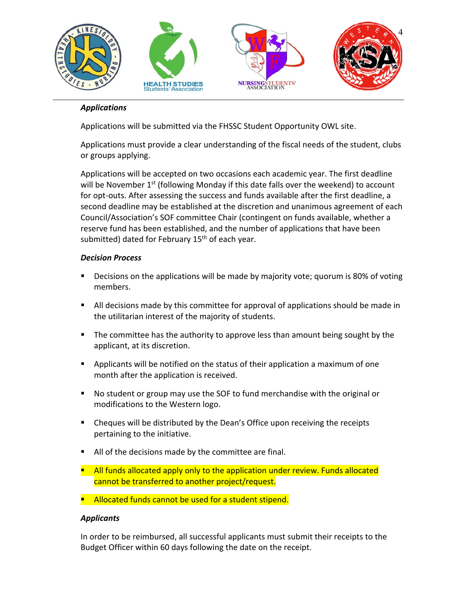

### *Applications*

Applications will be submitted via the FHSSC Student Opportunity OWL site.

Applications must provide a clear understanding of the fiscal needs of the student, clubs or groups applying.

Applications will be accepted on two occasions each academic year. The first deadline will be November 1<sup>st</sup> (following Monday if this date falls over the weekend) to account for opt-outs. After assessing the success and funds available after the first deadline, a second deadline may be established at the discretion and unanimous agreement of each Council/Association's SOF committee Chair (contingent on funds available, whether a reserve fund has been established, and the number of applications that have been submitted) dated for February  $15<sup>th</sup>$  of each year.

#### *Decision Process*

- **Decisions on the applications will be made by majority vote; quorum is 80% of voting** members.
- All decisions made by this committee for approval of applications should be made in the utilitarian interest of the majority of students.
- **The committee has the authority to approve less than amount being sought by the** applicant, at its discretion.
- **•** Applicants will be notified on the status of their application a maximum of one month after the application is received.
- No student or group may use the SOF to fund merchandise with the original or modifications to the Western logo.
- **EXECO** Cheques will be distributed by the Dean's Office upon receiving the receipts pertaining to the initiative.
- All of the decisions made by the committee are final.
- **All funds allocated apply only to the application under review. Funds allocated** cannot be transferred to another project/request.
- **Allocated funds cannot be used for a student stipend.**

#### *Applicants*

In order to be reimbursed, all successful applicants must submit their receipts to the Budget Officer within 60 days following the date on the receipt.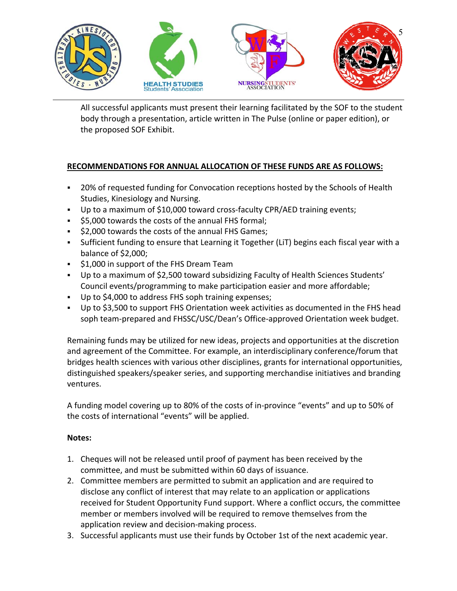

All successful applicants must present their learning facilitated by the SOF to the student body through a presentation, article written in The Pulse (online or paper edition), or the proposed SOF Exhibit.

# **RECOMMENDATIONS FOR ANNUAL ALLOCATION OF THESE FUNDS ARE AS FOLLOWS:**

- 20% of requested funding for Convocation receptions hosted by the Schools of Health Studies, Kinesiology and Nursing.
- Up to a maximum of \$10,000 toward cross-faculty CPR/AED training events;
- \$5,000 towards the costs of the annual FHS formal;
- $\frac{1}{2}$ ,000 towards the costs of the annual FHS Games;
- Sufficient funding to ensure that Learning it Together (LiT) begins each fiscal year with a balance of \$2,000;
- **51,000 in support of the FHS Dream Team**
- Up to a maximum of \$2,500 toward subsidizing Faculty of Health Sciences Students' Council events/programming to make participation easier and more affordable;
- Up to \$4,000 to address FHS soph training expenses;
- Up to \$3,500 to support FHS Orientation week activities as documented in the FHS head soph team‐prepared and FHSSC/USC/Dean's Office‐approved Orientation week budget.

Remaining funds may be utilized for new ideas, projects and opportunities at the discretion and agreement of the Committee. For example, an interdisciplinary conference/forum that bridges health sciences with various other disciplines, grants for international opportunities, distinguished speakers/speaker series, and supporting merchandise initiatives and branding ventures.

A funding model covering up to 80% of the costs of in‐province "events" and up to 50% of the costs of international "events" will be applied.

# **Notes:**

- 1. Cheques will not be released until proof of payment has been received by the committee, and must be submitted within 60 days of issuance.
- 2. Committee members are permitted to submit an application and are required to disclose any conflict of interest that may relate to an application or applications received for Student Opportunity Fund support. Where a conflict occurs, the committee member or members involved will be required to remove themselves from the application review and decision‐making process.
- 3. Successful applicants must use their funds by October 1st of the next academic year.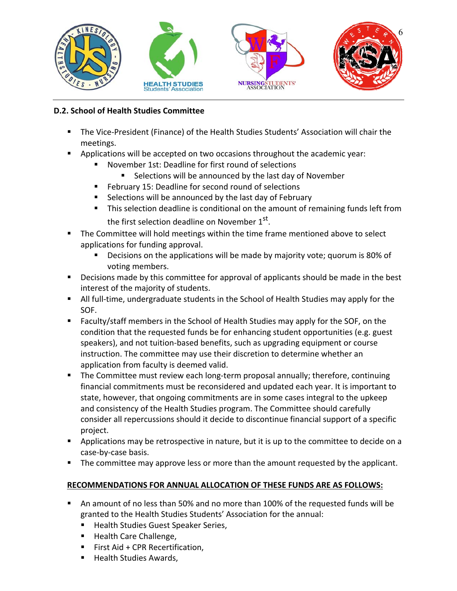

## **D.2. School of Health Studies Committee**

- The Vice-President (Finance) of the Health Studies Students' Association will chair the meetings.
- Applications will be accepted on two occasions throughout the academic year:
	- November 1st: Deadline for first round of selections
		- **Selections will be announced by the last day of November**
	- **February 15: Deadline for second round of selections**
	- Selections will be announced by the last day of February
	- **This selection deadline is conditional on the amount of remaining funds left from** the first selection deadline on November 1<sup>st</sup>.
- The Committee will hold meetings within the time frame mentioned above to select applications for funding approval.
	- **Decisions on the applications will be made by majority vote; quorum is 80% of** voting members.
- **Decisions made by this committee for approval of applicants should be made in the best** interest of the majority of students.
- All full-time, undergraduate students in the School of Health Studies may apply for the SOF.
- Faculty/staff members in the School of Health Studies may apply for the SOF, on the condition that the requested funds be for enhancing student opportunities (e.g. guest speakers), and not tuition‐based benefits, such as upgrading equipment or course instruction. The committee may use their discretion to determine whether an application from faculty is deemed valid.
- The Committee must review each long-term proposal annually; therefore, continuing financial commitments must be reconsidered and updated each year. It is important to state, however, that ongoing commitments are in some cases integral to the upkeep and consistency of the Health Studies program. The Committee should carefully consider all repercussions should it decide to discontinue financial support of a specific project.
- **•** Applications may be retrospective in nature, but it is up to the committee to decide on a case‐by‐case basis.
- **The committee may approve less or more than the amount requested by the applicant.**

### **RECOMMENDATIONS FOR ANNUAL ALLOCATION OF THESE FUNDS ARE AS FOLLOWS:**

- An amount of no less than 50% and no more than 100% of the requested funds will be granted to the Health Studies Students' Association for the annual:
	- **Health Studies Guest Speaker Series,**
	- Health Care Challenge,
	- $F$  First Aid + CPR Recertification.
	- Health Studies Awards,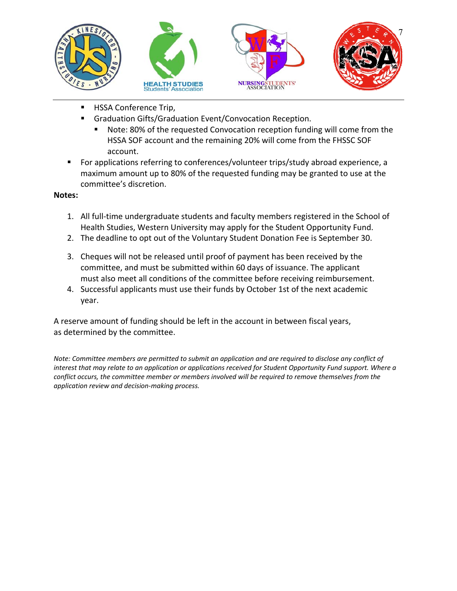

- **HSSA Conference Trip,** 
	- Graduation Gifts/Graduation Event/Convocation Reception.
		- Note: 80% of the requested Convocation reception funding will come from the HSSA SOF account and the remaining 20% will come from the FHSSC SOF account.
- For applications referring to conferences/volunteer trips/study abroad experience, a maximum amount up to 80% of the requested funding may be granted to use at the committee's discretion.

### **Notes:**

- 1. All full‐time undergraduate students and faculty members registered in the School of Health Studies, Western University may apply for the Student Opportunity Fund.
- 2. The deadline to opt out of the Voluntary Student Donation Fee is September 30.
- 3. Cheques will not be released until proof of payment has been received by the committee, and must be submitted within 60 days of issuance. The applicant must also meet all conditions of the committee before receiving reimbursement.
- 4. Successful applicants must use their funds by October 1st of the next academic year.

A reserve amount of funding should be left in the account in between fiscal years, as determined by the committee.

*Note: Committee members are permitted to submit an application and are required to disclose any conflict of interest that may relate to an application or applications received for Student Opportunity Fund support. Where a conflict occurs, the committee member or members involved will be required to remove themselves from the application review and decision‐making process.*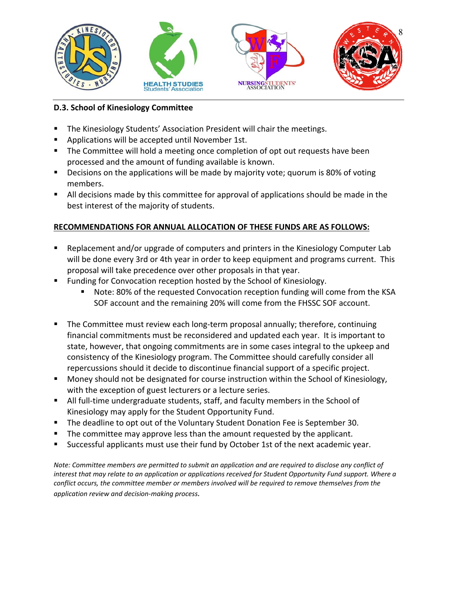

## **D.3. School of Kinesiology Committee**

- The Kinesiology Students' Association President will chair the meetings.
- **Applications will be accepted until November 1st.**
- **The Committee will hold a meeting once completion of opt out requests have been** processed and the amount of funding available is known.
- **Decisions on the applications will be made by majority vote; quorum is 80% of voting** members.
- All decisions made by this committee for approval of applications should be made in the best interest of the majority of students.

# **RECOMMENDATIONS FOR ANNUAL ALLOCATION OF THESE FUNDS ARE AS FOLLOWS:**

- Replacement and/or upgrade of computers and printers in the Kinesiology Computer Lab will be done every 3rd or 4th year in order to keep equipment and programs current. This proposal will take precedence over other proposals in that year.
- Funding for Convocation reception hosted by the School of Kinesiology.
	- Note: 80% of the requested Convocation reception funding will come from the KSA SOF account and the remaining 20% will come from the FHSSC SOF account.
- The Committee must review each long‐term proposal annually; therefore, continuing financial commitments must be reconsidered and updated each year. It is important to state, however, that ongoing commitments are in some cases integral to the upkeep and consistency of the Kinesiology program. The Committee should carefully consider all repercussions should it decide to discontinue financial support of a specific project.
- **Money should not be designated for course instruction within the School of Kinesiology,** with the exception of guest lecturers or a lecture series.
- All full-time undergraduate students, staff, and faculty members in the School of Kinesiology may apply for the Student Opportunity Fund.
- The deadline to opt out of the Voluntary Student Donation Fee is September 30.
- The committee may approve less than the amount requested by the applicant.
- Successful applicants must use their fund by October 1st of the next academic year.

*Note: Committee members are permitted to submit an application and are required to disclose any conflict of interest that may relate to an application or applications received for Student Opportunity Fund support. Where a conflict occurs, the committee member or members involved will be required to remove themselves from the application review and decision‐making process.*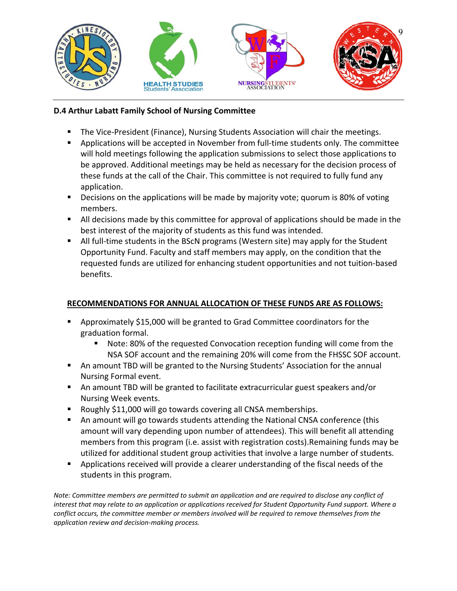

## **D.4 Arthur Labatt Family School of Nursing Committee**

- The Vice-President (Finance), Nursing Students Association will chair the meetings.
- Applications will be accepted in November from full-time students only. The committee will hold meetings following the application submissions to select those applications to be approved. Additional meetings may be held as necessary for the decision process of these funds at the call of the Chair. This committee is not required to fully fund any application.
- Decisions on the applications will be made by majority vote; quorum is 80% of voting members.
- All decisions made by this committee for approval of applications should be made in the best interest of the majority of students as this fund was intended.
- All full-time students in the BScN programs (Western site) may apply for the Student Opportunity Fund. Faculty and staff members may apply, on the condition that the requested funds are utilized for enhancing student opportunities and not tuition‐based benefits.

# **RECOMMENDATIONS FOR ANNUAL ALLOCATION OF THESE FUNDS ARE AS FOLLOWS:**

- Approximately \$15,000 will be granted to Grad Committee coordinators for the graduation formal.
	- Note: 80% of the requested Convocation reception funding will come from the NSA SOF account and the remaining 20% will come from the FHSSC SOF account.
- An amount TBD will be granted to the Nursing Students' Association for the annual Nursing Formal event.
- An amount TBD will be granted to facilitate extracurricular guest speakers and/or Nursing Week events.
- Roughly \$11,000 will go towards covering all CNSA memberships.
- An amount will go towards students attending the National CNSA conference (this amount will vary depending upon number of attendees). This will benefit all attending members from this program (i.e. assist with registration costs).Remaining funds may be utilized for additional student group activities that involve a large number of students.
- **Applications received will provide a clearer understanding of the fiscal needs of the** students in this program.

*Note: Committee members are permitted to submit an application and are required to disclose any conflict of interest that may relate to an application or applications received for Student Opportunity Fund support. Where a conflict occurs, the committee member or members involved will be required to remove themselves from the application review and decision‐making process.*